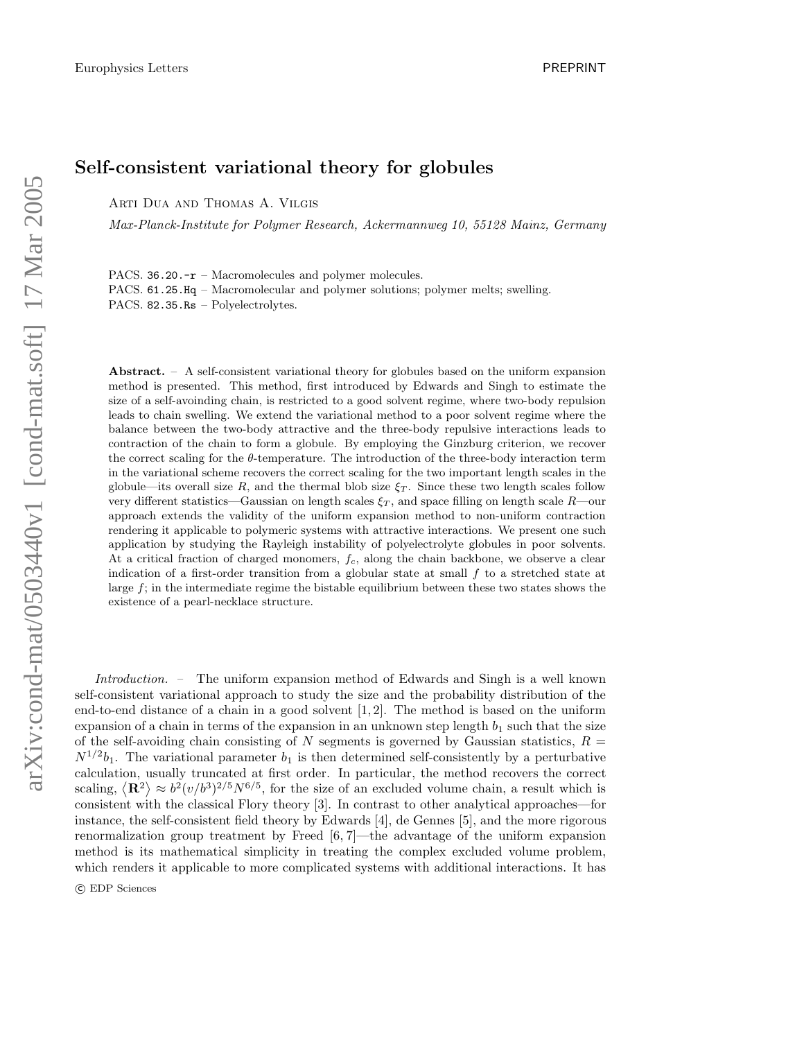## Self-consistent variational theory for globules

Arti Dua and Thomas A. Vilgis

Max-Planck-Institute for Polymer Research, Ackermannweg 10, 55128 Mainz, Germany

PACS. 36.20.- $r$  – Macromolecules and polymer molecules. PACS. 61.25.Hq – Macromolecular and polymer solutions; polymer melts; swelling. PACS. 82.35.Rs – Polyelectrolytes.

Abstract. – A self-consistent variational theory for globules based on the uniform expansion method is presented. This method, first introduced by Edwards and Singh to estimate the size of a self-avoinding chain, is restricted to a good solvent regime, where two-body repulsion leads to chain swelling. We extend the variational method to a poor solvent regime where the balance between the two-body attractive and the three-body repulsive interactions leads to contraction of the chain to form a globule. By employing the Ginzburg criterion, we recover the correct scaling for the θ-temperature. The introduction of the three-body interaction term in the variational scheme recovers the correct scaling for the two important length scales in the globule—its overall size R, and the thermal blob size  $\xi_T$ . Since these two length scales follow very different statistics—Gaussian on length scales  $\xi_T$ , and space filling on length scale R—our approach extends the validity of the uniform expansion method to non-uniform contraction rendering it applicable to polymeric systems with attractive interactions. We present one such application by studying the Rayleigh instability of polyelectrolyte globules in poor solvents. At a critical fraction of charged monomers,  $f_c$ , along the chain backbone, we observe a clear indication of a first-order transition from a globular state at small f to a stretched state at large f; in the intermediate regime the bistable equilibrium between these two states shows the existence of a pearl-necklace structure.

Introduction. – The uniform expansion method of Edwards and Singh is a well known self-consistent variational approach to study the size and the probability distribution of the end-to-end distance of a chain in a good solvent [1, 2]. The method is based on the uniform expansion of a chain in terms of the expansion in an unknown step length  $b_1$  such that the size of the self-avoiding chain consisting of N segments is governed by Gaussian statistics,  $R =$  $N^{1/2}b_1$ . The variational parameter  $b_1$  is then determined self-consistently by a perturbative calculation, usually truncated at first order. In particular, the method recovers the correct scaling,  $\langle \mathbf{R}^2 \rangle \approx b^2 (v/b^3)^{2/5} N^{6/5}$ , for the size of an excluded volume chain, a result which is consistent with the classical Flory theory [3]. In contrast to other analytical approaches—for instance, the self-consistent field theory by Edwards [4], de Gennes [5], and the more rigorous renormalization group treatment by Freed [6, 7]—the advantage of the uniform expansion method is its mathematical simplicity in treating the complex excluded volume problem, which renders it applicable to more complicated systems with additional interactions. It has

c EDP Sciences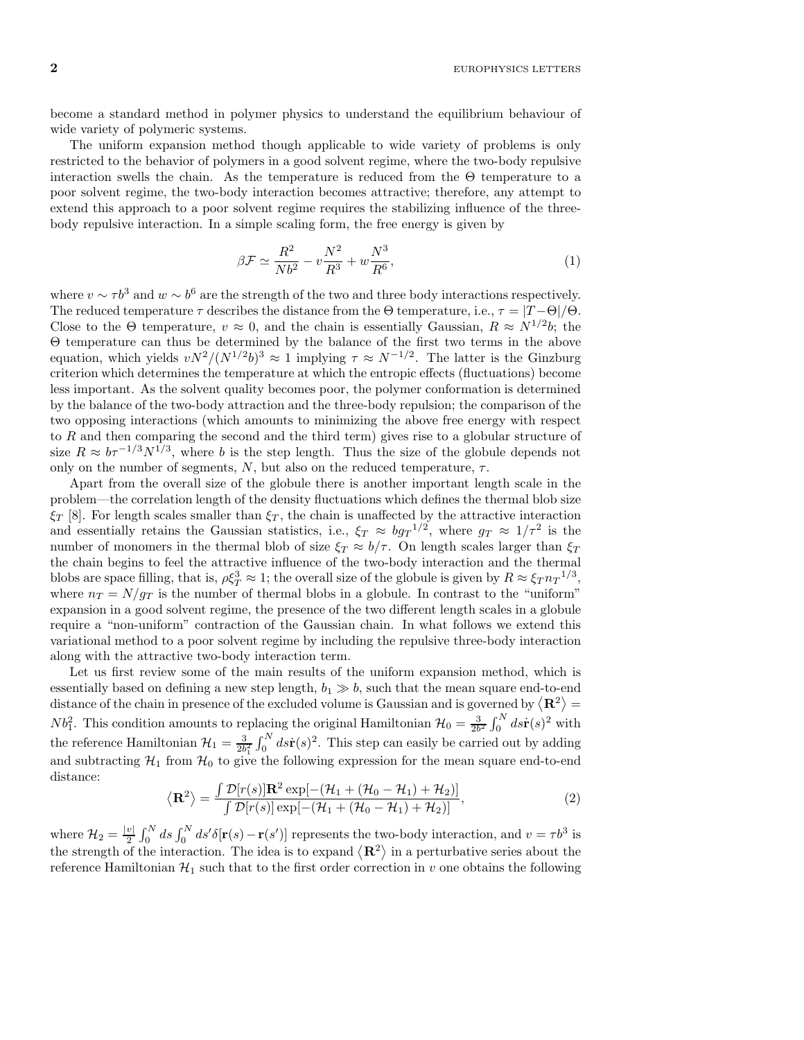$2$  EUROPHYSICS LETTERS

become a standard method in polymer physics to understand the equilibrium behaviour of wide variety of polymeric systems.

The uniform expansion method though applicable to wide variety of problems is only restricted to the behavior of polymers in a good solvent regime, where the two-body repulsive interaction swells the chain. As the temperature is reduced from the  $\Theta$  temperature to a poor solvent regime, the two-body interaction becomes attractive; therefore, any attempt to extend this approach to a poor solvent regime requires the stabilizing influence of the threebody repulsive interaction. In a simple scaling form, the free energy is given by

$$
\beta \mathcal{F} \simeq \frac{R^2}{Nb^2} - v \frac{N^2}{R^3} + w \frac{N^3}{R^6},\tag{1}
$$

where  $v \sim \tau b^3$  and  $w \sim b^6$  are the strength of the two and three body interactions respectively. The reduced temperature  $\tau$  describes the distance from the  $\Theta$  temperature, i.e.,  $\tau = |T - \Theta|/\Theta$ . Close to the  $\Theta$  temperature,  $v \approx 0$ , and the chain is essentially Gaussian,  $R \approx N^{1/2}b$ ; the Θ temperature can thus be determined by the balance of the first two terms in the above equation, which yields  $vN^2/(N^{1/2}b)^3 \approx 1$  implying  $\tau \approx N^{-1/2}$ . The latter is the Ginzburg criterion which determines the temperature at which the entropic effects (fluctuations) become less important. As the solvent quality becomes poor, the polymer conformation is determined by the balance of the two-body attraction and the three-body repulsion; the comparison of the two opposing interactions (which amounts to minimizing the above free energy with respect to  $R$  and then comparing the second and the third term) gives rise to a globular structure of size  $R \approx b\tau^{-1/3} N^{1/3}$ , where b is the step length. Thus the size of the globule depends not only on the number of segments,  $N$ , but also on the reduced temperature,  $\tau$ .

Apart from the overall size of the globule there is another important length scale in the problem—the correlation length of the density fluctuations which defines the thermal blob size  $\xi_T$  [8]. For length scales smaller than  $\xi_T$ , the chain is unaffected by the attractive interaction and essentially retains the Gaussian statistics, i.e.,  $\xi_T \approx bg_T^{-1/2}$ , where  $g_T \approx 1/\tau^2$  is the number of monomers in the thermal blob of size  $\xi_T \approx b/\tau$ . On length scales larger than  $\xi_T$ the chain begins to feel the attractive influence of the two-body interaction and the thermal blobs are space filling, that is,  $\rho \xi_T^3 \approx 1$ ; the overall size of the globule is given by  $R \approx \xi_T n_T^{1/3}$ , where  $n_T = N/g_T$  is the number of thermal blobs in a globule. In contrast to the "uniform" expansion in a good solvent regime, the presence of the two different length scales in a globule require a "non-uniform" contraction of the Gaussian chain. In what follows we extend this variational method to a poor solvent regime by including the repulsive three-body interaction along with the attractive two-body interaction term.

Let us first review some of the main results of the uniform expansion method, which is essentially based on defining a new step length,  $b_1 \gg b$ , such that the mean square end-to-end distance of the chain in presence of the excluded volume is Gaussian and is governed by  $\langle \mathbf{R}^2 \rangle =$  $Nb_1^2$ . This condition amounts to replacing the original Hamiltonian  $\mathcal{H}_0 = \frac{3}{2b^2} \int_0^N ds \dot{\mathbf{r}}(s)^2$  with the reference Hamiltonian  $\mathcal{H}_1 = \frac{3}{2b_1^2} \int_0^N ds \dot{\mathbf{r}}(s)^2$ . This step can easily be carried out by adding and subtracting  $H_1$  from  $H_0$  to give the following expression for the mean square end-to-end distance:

$$
\langle \mathbf{R}^2 \rangle = \frac{\int \mathcal{D}[r(s)] \mathbf{R}^2 \exp[-(\mathcal{H}_1 + (\mathcal{H}_0 - \mathcal{H}_1) + \mathcal{H}_2)]}{\int \mathcal{D}[r(s)] \exp[-(\mathcal{H}_1 + (\mathcal{H}_0 - \mathcal{H}_1) + \mathcal{H}_2)]},
$$
\n(2)

where  $\mathcal{H}_2 = \frac{|v|}{2}$  $\frac{v}{2} \int_0^N ds \int_0^N ds' \delta[\mathbf{r}(s) - \mathbf{r}(s')]$  represents the two-body interaction, and  $v = \tau b^3$  is the strength of the interaction. The idea is to expand  $\langle \mathbf{R}^2 \rangle$  in a perturbative series about the reference Hamiltonian  $\mathcal{H}_1$  such that to the first order correction in v one obtains the following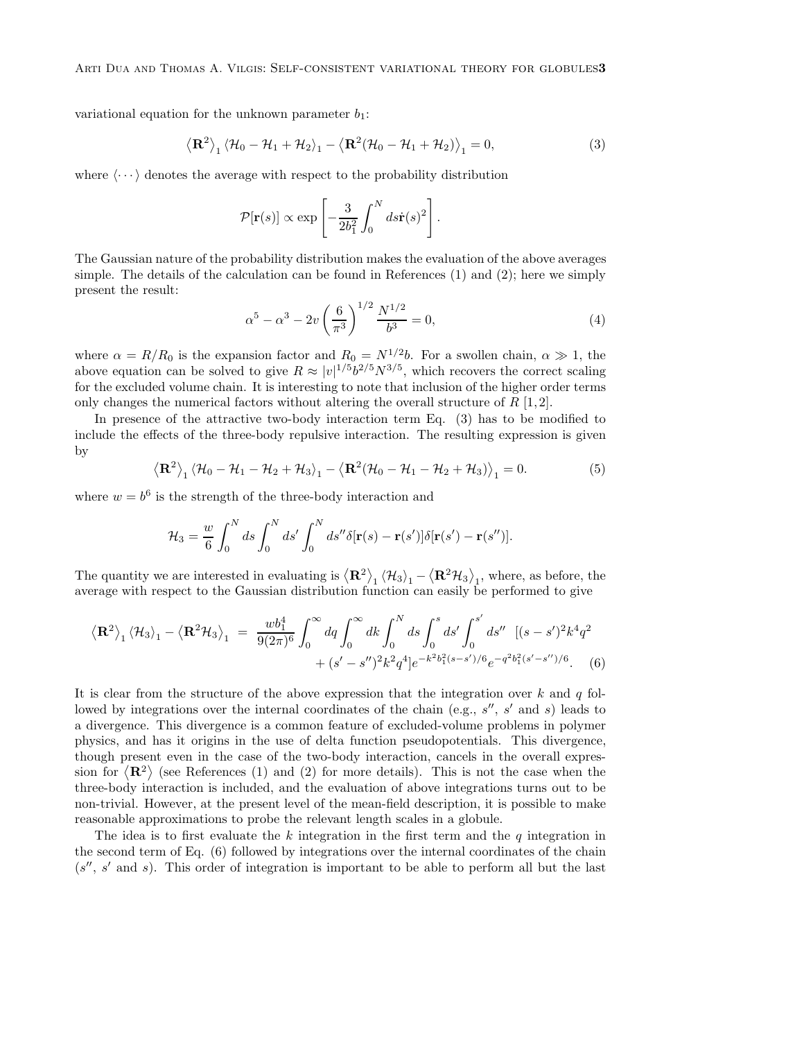variational equation for the unknown parameter  $b_1$ :

$$
\left\langle \mathbf{R}^2 \right\rangle_1 \left\langle \mathcal{H}_0 - \mathcal{H}_1 + \mathcal{H}_2 \right\rangle_1 - \left\langle \mathbf{R}^2 (\mathcal{H}_0 - \mathcal{H}_1 + \mathcal{H}_2) \right\rangle_1 = 0, \tag{3}
$$

where  $\langle \cdots \rangle$  denotes the average with respect to the probability distribution

$$
\mathcal{P}[\mathbf{r}(s)] \propto \exp\left[-\frac{3}{2b_1^2} \int_0^N ds \dot{\mathbf{r}}(s)^2\right].
$$

The Gaussian nature of the probability distribution makes the evaluation of the above averages simple. The details of the calculation can be found in References (1) and (2); here we simply present the result:

$$
\alpha^5 - \alpha^3 - 2v \left(\frac{6}{\pi^3}\right)^{1/2} \frac{N^{1/2}}{b^3} = 0,\tag{4}
$$

where  $\alpha = R/R_0$  is the expansion factor and  $R_0 = N^{1/2}b$ . For a swollen chain,  $\alpha \gg 1$ , the above equation can be solved to give  $R \approx |v|^{1/5} b^{2/5} N^{3/5}$ , which recovers the correct scaling for the excluded volume chain. It is interesting to note that inclusion of the higher order terms only changes the numerical factors without altering the overall structure of  $R$  [1,2].

In presence of the attractive two-body interaction term Eq. (3) has to be modified to include the effects of the three-body repulsive interaction. The resulting expression is given by

$$
\left\langle \mathbf{R}^2 \right\rangle_1 \left\langle \mathcal{H}_0 - \mathcal{H}_1 - \mathcal{H}_2 + \mathcal{H}_3 \right\rangle_1 - \left\langle \mathbf{R}^2 (\mathcal{H}_0 - \mathcal{H}_1 - \mathcal{H}_2 + \mathcal{H}_3) \right\rangle_1 = 0.
$$
 (5)

where  $w = b^6$  is the strength of the three-body interaction and

$$
\mathcal{H}_3 = \frac{w}{6} \int_0^N ds \int_0^N ds' \int_0^N ds'' \delta[\mathbf{r}(s) - \mathbf{r}(s')] \delta[\mathbf{r}(s') - \mathbf{r}(s'')].
$$

The quantity we are interested in evaluating is  $\langle \mathbf{R}^2 \rangle_1 \langle \mathcal{H}_3 \rangle_1 - \langle \mathbf{R}^2 \mathcal{H}_3 \rangle_1$ , where, as before, the average with respect to the Gaussian distribution function can easily be performed to give

$$
\langle \mathbf{R}^2 \rangle_1 \langle \mathcal{H}_3 \rangle_1 - \langle \mathbf{R}^2 \mathcal{H}_3 \rangle_1 = \frac{wb_1^4}{9(2\pi)^6} \int_0^\infty dq \int_0^\infty dk \int_0^N ds \int_0^s ds' \int_0^{s'} ds'' \quad [(s-s')^2 k^4 q^2 + (s'-s'')^2 k^2 q^4] e^{-k^2 b_1^2 (s-s')/6} e^{-q^2 b_1^2 (s'-s'')/6} . \tag{6}
$$

It is clear from the structure of the above expression that the integration over  $k$  and  $q$  followed by integrations over the internal coordinates of the chain (e.g.,  $s''$ ,  $s'$  and  $s$ ) leads to a divergence. This divergence is a common feature of excluded-volume problems in polymer physics, and has it origins in the use of delta function pseudopotentials. This divergence, though present even in the case of the two-body interaction, cancels in the overall expression for  $\langle \mathbf{R}^2 \rangle$  (see References (1) and (2) for more details). This is not the case when the three-body interaction is included, and the evaluation of above integrations turns out to be non-trivial. However, at the present level of the mean-field description, it is possible to make reasonable approximations to probe the relevant length scales in a globule.

The idea is to first evaluate the  $k$  integration in the first term and the  $q$  integration in the second term of Eq. (6) followed by integrations over the internal coordinates of the chain  $(s'', s'$  and s). This order of integration is important to be able to perform all but the last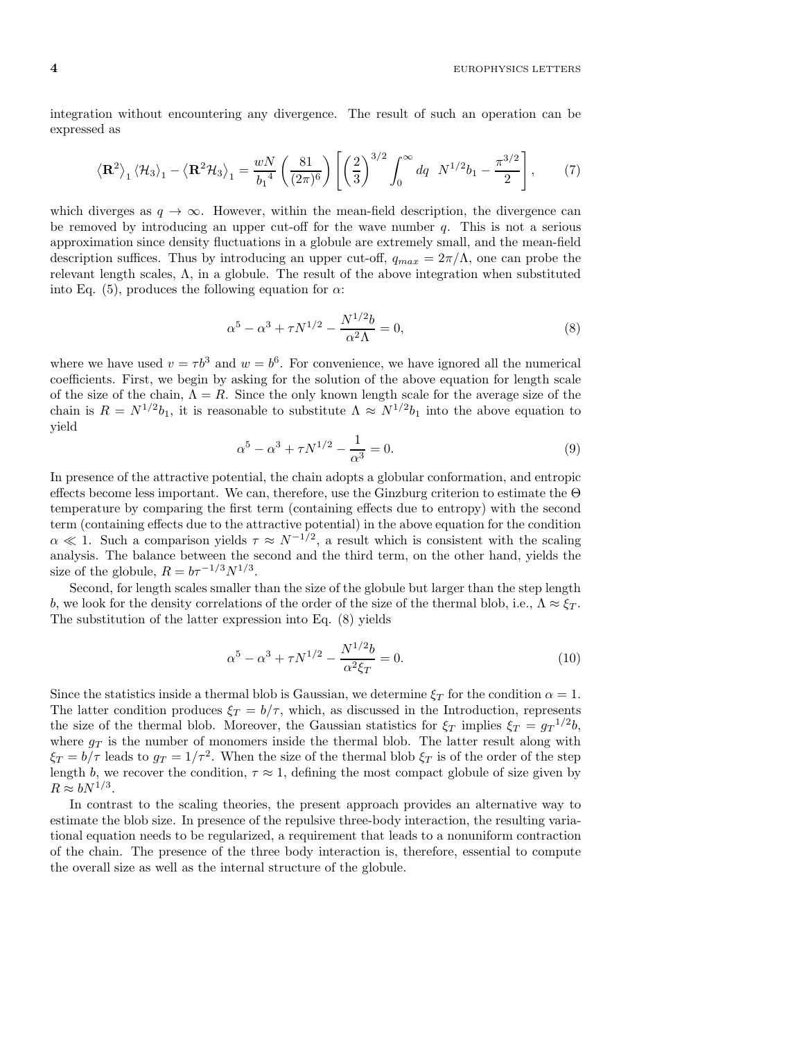$4$  EUROPHYSICS LETTERS

integration without encountering any divergence. The result of such an operation can be expressed as

$$
\left\langle \mathbf{R}^2 \right\rangle_1 \left\langle \mathcal{H}_3 \right\rangle_1 - \left\langle \mathbf{R}^2 \mathcal{H}_3 \right\rangle_1 = \frac{wN}{b_1^4} \left( \frac{81}{(2\pi)^6} \right) \left[ \left( \frac{2}{3} \right)^{3/2} \int_0^\infty dq \, N^{1/2} b_1 - \frac{\pi^{3/2}}{2} \right],\tag{7}
$$

which diverges as  $q \to \infty$ . However, within the mean-field description, the divergence can be removed by introducing an upper cut-off for the wave number  $q$ . This is not a serious approximation since density fluctuations in a globule are extremely small, and the mean-field description suffices. Thus by introducing an upper cut-off,  $q_{max} = 2\pi/\Lambda$ , one can probe the relevant length scales,  $\Lambda$ , in a globule. The result of the above integration when substituted into Eq. (5), produces the following equation for  $\alpha$ :

$$
\alpha^5 - \alpha^3 + \tau N^{1/2} - \frac{N^{1/2}b}{\alpha^2 \Lambda} = 0,
$$
\n(8)

where we have used  $v = \tau b^3$  and  $w = b^6$ . For convenience, we have ignored all the numerical coefficients. First, we begin by asking for the solution of the above equation for length scale of the size of the chain,  $\Lambda = R$ . Since the only known length scale for the average size of the chain is  $R = N^{1/2}b_1$ , it is reasonable to substitute  $\Lambda \approx N^{1/2}b_1$  into the above equation to yield

$$
\alpha^5 - \alpha^3 + \tau N^{1/2} - \frac{1}{\alpha^3} = 0.
$$
\n(9)

In presence of the attractive potential, the chain adopts a globular conformation, and entropic effects become less important. We can, therefore, use the Ginzburg criterion to estimate the Θ temperature by comparing the first term (containing effects due to entropy) with the second term (containing effects due to the attractive potential) in the above equation for the condition  $\alpha \ll 1$ . Such a comparison yields  $\tau \approx N^{-1/2}$ , a result which is consistent with the scaling analysis. The balance between the second and the third term, on the other hand, yields the size of the globule,  $R = b\tau^{-1/3} N^{1/3}$ .

Second, for length scales smaller than the size of the globule but larger than the step length b, we look for the density correlations of the order of the size of the thermal blob, i.e.,  $\Lambda \approx \xi_T$ . The substitution of the latter expression into Eq. (8) yields

$$
\alpha^5 - \alpha^3 + \tau N^{1/2} - \frac{N^{1/2}b}{\alpha^2 \xi_T} = 0.
$$
 (10)

Since the statistics inside a thermal blob is Gaussian, we determine  $\xi_T$  for the condition  $\alpha = 1$ . The latter condition produces  $\xi_T = b/\tau$ , which, as discussed in the Introduction, represents the size of the thermal blob. Moreover, the Gaussian statistics for  $\xi_T$  implies  $\xi_T = g_T^{1/2}b$ , where  $g_T$  is the number of monomers inside the thermal blob. The latter result along with  $\xi_T = b/\tau$  leads to  $g_T = 1/\tau^2$ . When the size of the thermal blob  $\xi_T$  is of the order of the step length b, we recover the condition,  $\tau \approx 1$ , defining the most compact globule of size given by  $R \approx bN^{1/3}.$ 

In contrast to the scaling theories, the present approach provides an alternative way to estimate the blob size. In presence of the repulsive three-body interaction, the resulting variational equation needs to be regularized, a requirement that leads to a nonuniform contraction of the chain. The presence of the three body interaction is, therefore, essential to compute the overall size as well as the internal structure of the globule.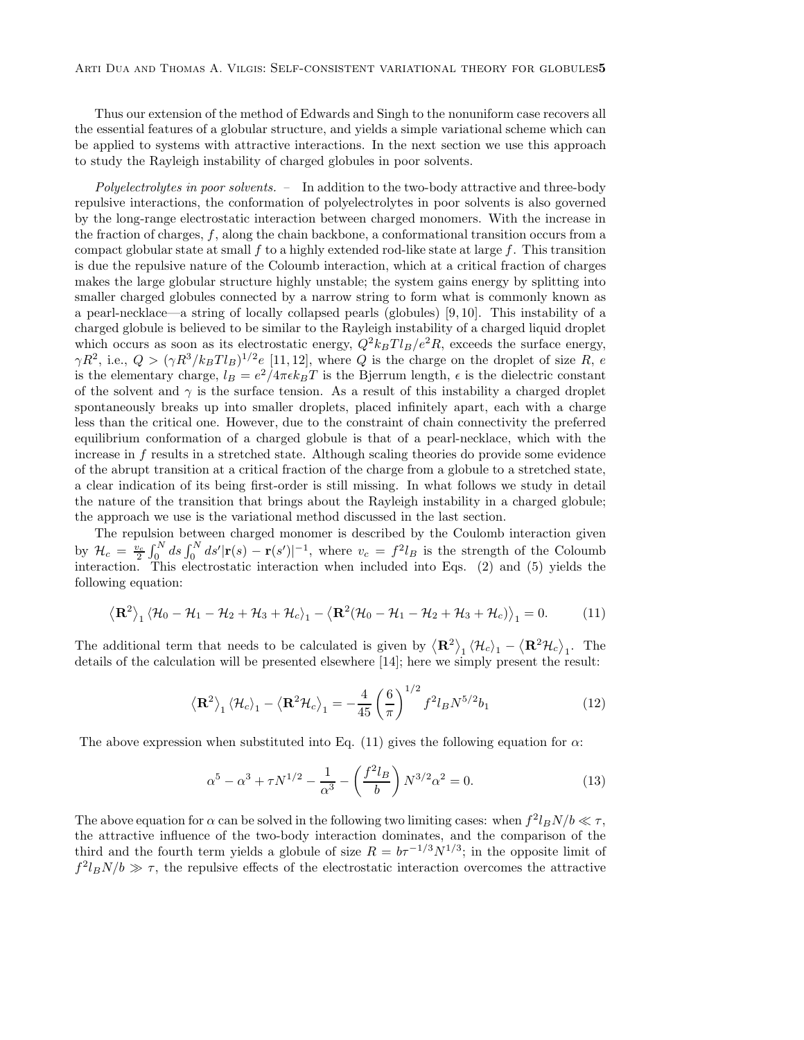Thus our extension of the method of Edwards and Singh to the nonuniform case recovers all the essential features of a globular structure, and yields a simple variational scheme which can be applied to systems with attractive interactions. In the next section we use this approach to study the Rayleigh instability of charged globules in poor solvents.

Polyelectrolytes in poor solvents. - In addition to the two-body attractive and three-body repulsive interactions, the conformation of polyelectrolytes in poor solvents is also governed by the long-range electrostatic interaction between charged monomers. With the increase in the fraction of charges, f, along the chain backbone, a conformational transition occurs from a compact globular state at small  $f$  to a highly extended rod-like state at large  $f$ . This transition is due the repulsive nature of the Coloumb interaction, which at a critical fraction of charges makes the large globular structure highly unstable; the system gains energy by splitting into smaller charged globules connected by a narrow string to form what is commonly known as a pearl-necklace—a string of locally collapsed pearls (globules) [9, 10]. This instability of a charged globule is believed to be similar to the Rayleigh instability of a charged liquid droplet which occurs as soon as its electrostatic energy,  $Q^2 k_B T l_B/e^2 R$ , exceeds the surface energy,  $\gamma R^2$ , i.e.,  $Q > (\gamma R^3 / k_B T l_B)^{1/2} e$  [11, 12], where Q is the charge on the droplet of size R, e is the elementary charge,  $l_B = e^2/4\pi\epsilon k_BT$  is the Bjerrum length,  $\epsilon$  is the dielectric constant of the solvent and  $\gamma$  is the surface tension. As a result of this instability a charged droplet spontaneously breaks up into smaller droplets, placed infinitely apart, each with a charge less than the critical one. However, due to the constraint of chain connectivity the preferred equilibrium conformation of a charged globule is that of a pearl-necklace, which with the increase in f results in a stretched state. Although scaling theories do provide some evidence of the abrupt transition at a critical fraction of the charge from a globule to a stretched state, a clear indication of its being first-order is still missing. In what follows we study in detail the nature of the transition that brings about the Rayleigh instability in a charged globule; the approach we use is the variational method discussed in the last section.

The repulsion between charged monomer is described by the Coulomb interaction given by  $\mathcal{H}_c = \frac{v_c}{2} \int_0^N ds \int_0^N ds' |\mathbf{r}(s) - \mathbf{r}(s')|^{-1}$ , where  $v_c = f^2 l_B$  is the strength of the Coloumb interaction. This electrostatic interaction when included into Eqs. (2) and (5) yields the following equation:

$$
\left\langle \mathbf{R}^2 \right\rangle_1 \left\langle \mathcal{H}_0 - \mathcal{H}_1 - \mathcal{H}_2 + \mathcal{H}_3 + \mathcal{H}_c \right\rangle_1 - \left\langle \mathbf{R}^2 (\mathcal{H}_0 - \mathcal{H}_1 - \mathcal{H}_2 + \mathcal{H}_3 + \mathcal{H}_c) \right\rangle_1 = 0.
$$
 (11)

The additional term that needs to be calculated is given by  $\langle \mathbf{R}^2 \rangle_1 \langle \mathcal{H}_c \rangle_1 - \langle \mathbf{R}^2 \mathcal{H}_c \rangle_1$ . The details of the calculation will be presented elsewhere [14]; here we simply present the result:

$$
\left\langle \mathbf{R}^2 \right\rangle_1 \left\langle \mathcal{H}_c \right\rangle_1 - \left\langle \mathbf{R}^2 \mathcal{H}_c \right\rangle_1 = -\frac{4}{45} \left( \frac{6}{\pi} \right)^{1/2} f^2 l_B N^{5/2} b_1 \tag{12}
$$

The above expression when substituted into Eq. (11) gives the following equation for  $\alpha$ :

$$
\alpha^5 - \alpha^3 + \tau N^{1/2} - \frac{1}{\alpha^3} - \left(\frac{f^2 l_B}{b}\right) N^{3/2} \alpha^2 = 0.
$$
 (13)

The above equation for  $\alpha$  can be solved in the following two limiting cases: when  $f^2 l_B N/b \ll \tau$ , the attractive influence of the two-body interaction dominates, and the comparison of the third and the fourth term yields a globule of size  $R = b\tau^{-1/3} N^{1/3}$ ; in the opposite limit of  $f^2 l_B N / b \gg \tau$ , the repulsive effects of the electrostatic interaction overcomes the attractive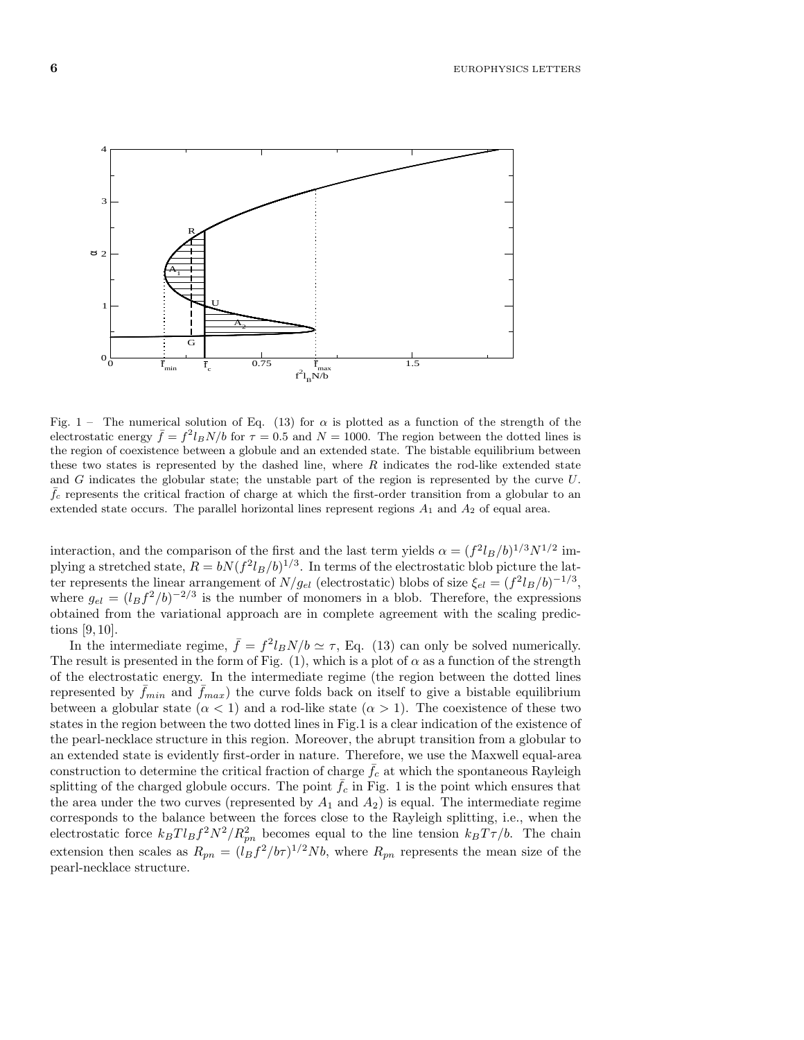6 EUROPHYSICS LETTERS



Fig. 1 – The numerical solution of Eq. (13) for  $\alpha$  is plotted as a function of the strength of the electrostatic energy  $\bar{f} = f^2 l_B N/b$  for  $\tau = 0.5$  and  $N = 1000$ . The region between the dotted lines is the region of coexistence between a globule and an extended state. The bistable equilibrium between these two states is represented by the dashed line, where  $R$  indicates the rod-like extended state and G indicates the globular state; the unstable part of the region is represented by the curve U.  $f_c$  represents the critical fraction of charge at which the first-order transition from a globular to an extended state occurs. The parallel horizontal lines represent regions  $A_1$  and  $A_2$  of equal area.

interaction, and the comparison of the first and the last term yields  $\alpha = (f^2 l_B/b)^{1/3} N^{1/2}$  implying a stretched state,  $R = bN(f^2l_B/b)^{1/3}$ . In terms of the electrostatic blob picture the latter represents the linear arrangement of  $N/g_{el}$  (electrostatic) blobs of size  $\xi_{el} = (f^2 l_B/b)^{-1/3}$ , where  $g_{el} = (l_B f^2/b)^{-2/3}$  is the number of monomers in a blob. Therefore, the expressions obtained from the variational approach are in complete agreement with the scaling predictions [9, 10].

In the intermediate regime,  $\bar{f} = f^2 l_B N/b \simeq \tau$ , Eq. (13) can only be solved numerically. The result is presented in the form of Fig.  $(1)$ , which is a plot of  $\alpha$  as a function of the strength of the electrostatic energy. In the intermediate regime (the region between the dotted lines represented by  $\bar{f}_{min}$  and  $\bar{f}_{max}$ ) the curve folds back on itself to give a bistable equilibrium between a globular state  $(\alpha < 1)$  and a rod-like state  $(\alpha > 1)$ . The coexistence of these two states in the region between the two dotted lines in Fig.1 is a clear indication of the existence of the pearl-necklace structure in this region. Moreover, the abrupt transition from a globular to an extended state is evidently first-order in nature. Therefore, we use the Maxwell equal-area construction to determine the critical fraction of charge  $f_c$  at which the spontaneous Rayleigh splitting of the charged globule occurs. The point  $\bar{f}_c$  in Fig. 1 is the point which ensures that the area under the two curves (represented by  $A_1$  and  $A_2$ ) is equal. The intermediate regime corresponds to the balance between the forces close to the Rayleigh splitting, i.e., when the electrostatic force  $k_B T l_B f^2 N^2 / R_{pn}^2$  becomes equal to the line tension  $k_B T \tau / b$ . The chain extension then scales as  $R_{pn} = (l_B f^2 / b\tau)^{1/2} Nb$ , where  $R_{pn}$  represents the mean size of the pearl-necklace structure.